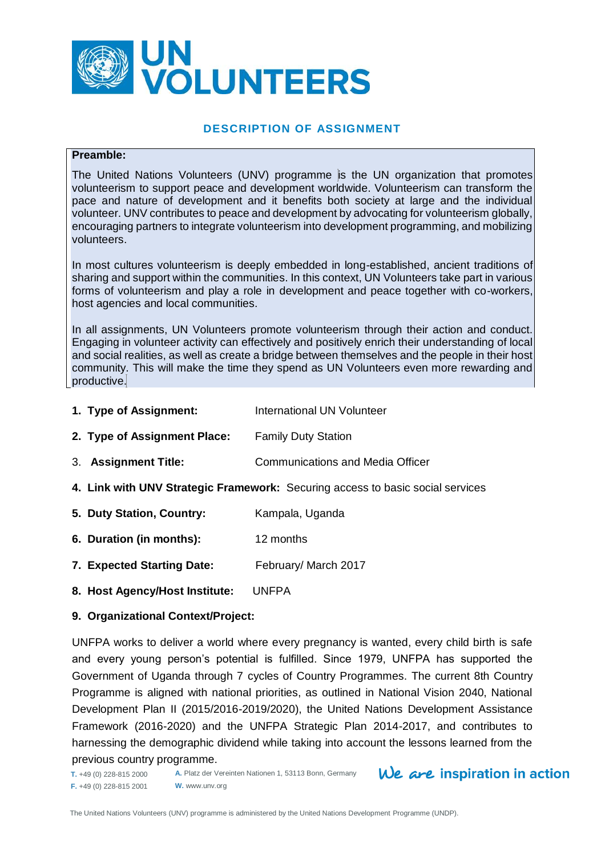

#### **DESCRIPTION OF ASSIGNMENT**

#### **Preamble:**

The United Nations Volunteers (UNV) programme is the UN organization that promotes volunteerism to support peace and development worldwide. Volunteerism can transform the pace and nature of development and it benefits both society at large and the individual volunteer. UNV contributes to peace and development by advocating for volunteerism globally, encouraging partners to integrate volunteerism into development programming, and mobilizing volunteers.

In most cultures volunteerism is deeply embedded in long-established, ancient traditions of sharing and support within the communities. In this context, UN Volunteers take part in various forms of volunteerism and play a role in development and peace together with co-workers, host agencies and local communities.

In all assignments, UN Volunteers promote volunteerism through their action and conduct. Engaging in volunteer activity can effectively and positively enrich their understanding of local and social realities, as well as create a bridge between themselves and the people in their host community. This will make the time they spend as UN Volunteers even more rewarding and productive.

- **1. Type of Assignment:** International UN Volunteer
- **2. Type of Assignment Place:** Family Duty Station
- 3. **Assignment Title:** Communications and Media Officer
- **4. Link with UNV Strategic Framework:** Securing access to basic social services
- **5. Duty Station, Country:** Kampala, Uganda
- **6. Duration (in months):** 12 months
- **7. Expected Starting Date:** February/ March 2017
- **8. Host Agency/Host Institute:** UNFPA

#### **9. Organizational Context/Project:**

UNFPA works to deliver a world where every pregnancy is wanted, every child birth is safe and every young person's potential is fulfilled. Since 1979, UNFPA has supported the Government of Uganda through 7 cycles of Country Programmes. The current 8th Country Programme is aligned with national priorities, as outlined in National Vision 2040, National Development Plan II (2015/2016-2019/2020), the United Nations Development Assistance Framework (2016-2020) and the UNFPA Strategic Plan 2014-2017, and contributes to harnessing the demographic dividend while taking into account the lessons learned from the previous country programme.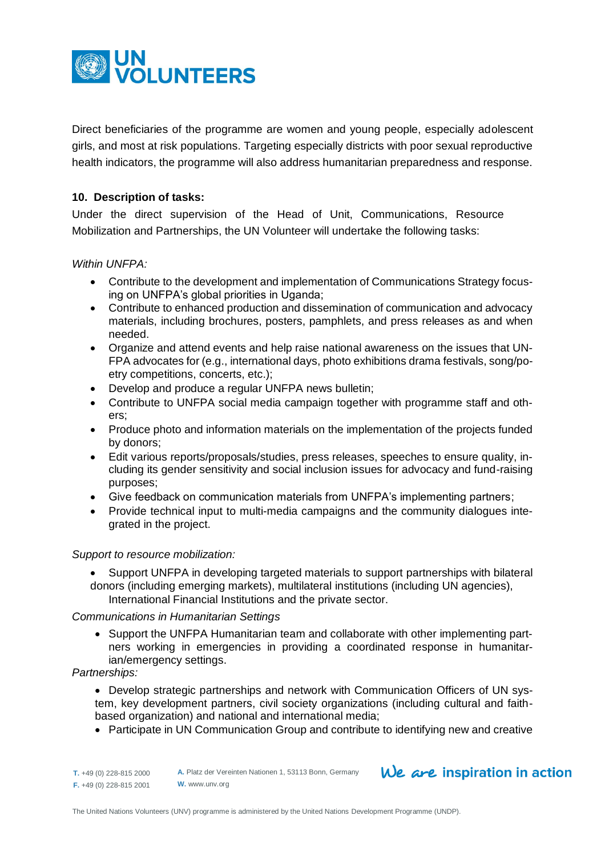

Direct beneficiaries of the programme are women and young people, especially adolescent girls, and most at risk populations. Targeting especially districts with poor sexual reproductive health indicators, the programme will also address humanitarian preparedness and response.

# **10. Description of tasks:**

Under the direct supervision of the Head of Unit, Communications, Resource Mobilization and Partnerships, the UN Volunteer will undertake the following tasks:

## *Within UNFPA:*

- Contribute to the development and implementation of Communications Strategy focusing on UNFPA's global priorities in Uganda;
- Contribute to enhanced production and dissemination of communication and advocacy materials, including brochures, posters, pamphlets, and press releases as and when needed.
- Organize and attend events and help raise national awareness on the issues that UN-FPA advocates for (e.g., international days, photo exhibitions drama festivals, song/poetry competitions, concerts, etc.);
- Develop and produce a regular UNFPA news bulletin;
- Contribute to UNFPA social media campaign together with programme staff and others;
- Produce photo and information materials on the implementation of the projects funded by donors;
- Edit various reports/proposals/studies, press releases, speeches to ensure quality, including its gender sensitivity and social inclusion issues for advocacy and fund-raising purposes;
- Give feedback on communication materials from UNFPA's implementing partners;
- Provide technical input to multi-media campaigns and the community dialogues integrated in the project.

## *Support to resource mobilization:*

 Support UNFPA in developing targeted materials to support partnerships with bilateral donors (including emerging markets), multilateral institutions (including UN agencies), International Financial Institutions and the private sector.

## *Communications in Humanitarian Settings*

• Support the UNFPA Humanitarian team and collaborate with other implementing partners working in emergencies in providing a coordinated response in humanitarian/emergency settings.

#### *Partnerships:*

- Develop strategic partnerships and network with Communication Officers of UN system, key development partners, civil society organizations (including cultural and faithbased organization) and national and international media;
- Participate in UN Communication Group and contribute to identifying new and creative

| $T. +49(0)$ 228-815 2000 | Α |
|--------------------------|---|
| $F. +49(0)$ 228-815 2001 | N |

**A.** Platz der Vereinten Nationen 1, 53113 Bonn, Germany **W.** www.unv.org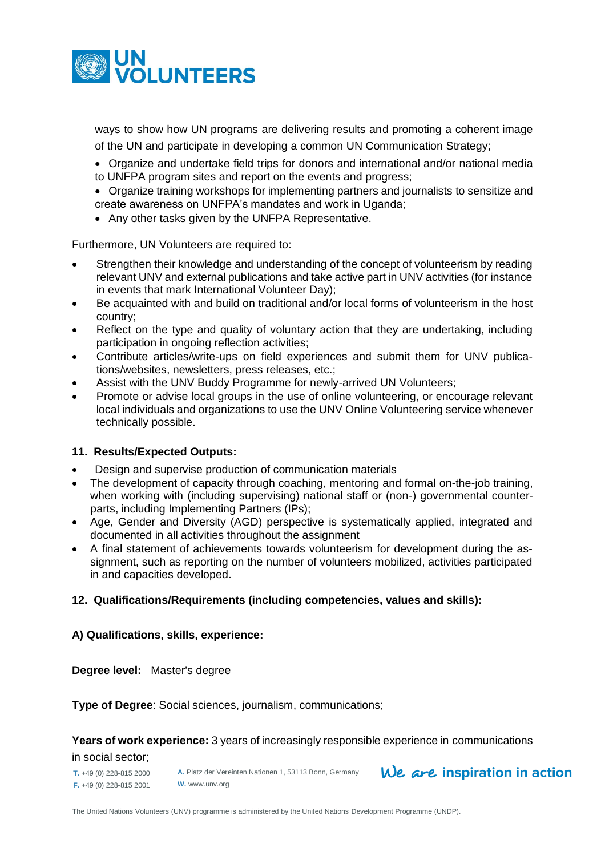

ways to show how UN programs are delivering results and promoting a coherent image of the UN and participate in developing a common UN Communication Strategy;

- Organize and undertake field trips for donors and international and/or national media to UNFPA program sites and report on the events and progress;
- Organize training workshops for implementing partners and journalists to sensitize and create awareness on UNFPA's mandates and work in Uganda;
- Any other tasks given by the UNFPA Representative.

Furthermore, UN Volunteers are required to:

- Strengthen their knowledge and understanding of the concept of volunteerism by reading relevant UNV and external publications and take active part in UNV activities (for instance in events that mark International Volunteer Day);
- Be acquainted with and build on traditional and/or local forms of volunteerism in the host country;
- Reflect on the type and quality of voluntary action that they are undertaking, including participation in ongoing reflection activities;
- Contribute articles/write-ups on field experiences and submit them for UNV publications/websites, newsletters, press releases, etc.;
- Assist with the UNV Buddy Programme for newly-arrived UN Volunteers;
- Promote or advise local groups in the use of online volunteering, or encourage relevant local individuals and organizations to use the UNV Online Volunteering service whenever technically possible.

## **11. Results/Expected Outputs:**

- Design and supervise production of communication materials
- The development of capacity through coaching, mentoring and formal on-the-job training, when working with (including supervising) national staff or (non-) governmental counterparts, including Implementing Partners (IPs);
- Age, Gender and Diversity (AGD) perspective is systematically applied, integrated and documented in all activities throughout the assignment
- A final statement of achievements towards volunteerism for development during the assignment, such as reporting on the number of volunteers mobilized, activities participated in and capacities developed.

## **12. Qualifications/Requirements (including competencies, values and skills):**

## **A) Qualifications, skills, experience:**

**Degree level:** Master's degree

**Type of Degree**: Social sciences, journalism, communications;

**Years of work experience:** 3 years of increasingly responsible experience in communications

#### **T.** +49 (0) 228-815 2000 in social sector;

**F.** +49 (0) 228-815 2001

**A.** Platz der Vereinten Nationen 1, 53113 Bonn, Germany **W.** www.unv.org



The United Nations Volunteers (UNV) programme is administered by the United Nations Development Programme (UNDP).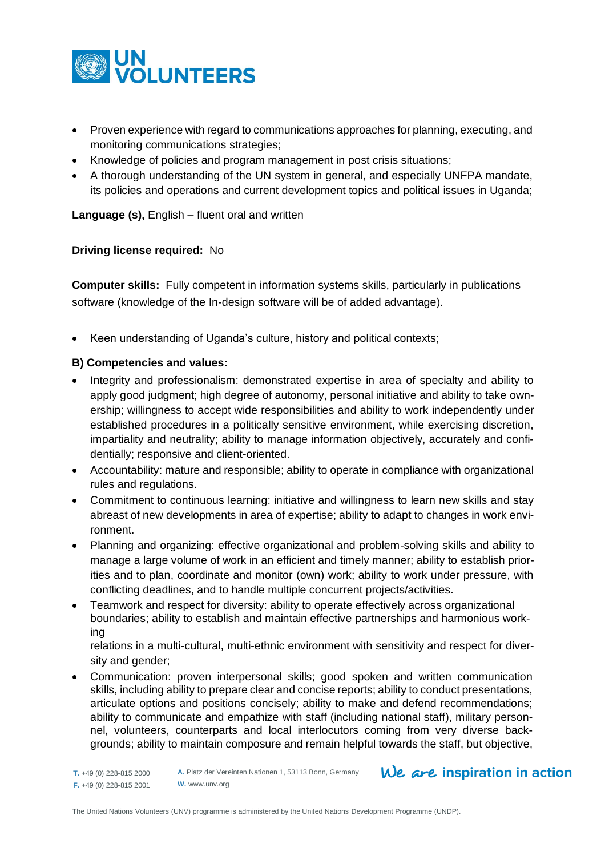

- Proven experience with regard to communications approaches for planning, executing, and monitoring communications strategies;
- Knowledge of policies and program management in post crisis situations;
- A thorough understanding of the UN system in general, and especially UNFPA mandate, its policies and operations and current development topics and political issues in Uganda;

**Language (s),** English – fluent oral and written

#### **Driving license required:** No

**Computer skills:** Fully competent in information systems skills, particularly in publications software (knowledge of the In-design software will be of added advantage).

• Keen understanding of Uganda's culture, history and political contexts;

## **B) Competencies and values:**

- Integrity and professionalism: demonstrated expertise in area of specialty and ability to apply good judgment; high degree of autonomy, personal initiative and ability to take ownership; willingness to accept wide responsibilities and ability to work independently under established procedures in a politically sensitive environment, while exercising discretion, impartiality and neutrality; ability to manage information objectively, accurately and confidentially; responsive and client-oriented.
- Accountability: mature and responsible; ability to operate in compliance with organizational rules and regulations.
- Commitment to continuous learning: initiative and willingness to learn new skills and stay abreast of new developments in area of expertise; ability to adapt to changes in work environment.
- Planning and organizing: effective organizational and problem-solving skills and ability to manage a large volume of work in an efficient and timely manner; ability to establish priorities and to plan, coordinate and monitor (own) work; ability to work under pressure, with conflicting deadlines, and to handle multiple concurrent projects/activities.
- Teamwork and respect for diversity: ability to operate effectively across organizational boundaries; ability to establish and maintain effective partnerships and harmonious working

relations in a multi-cultural, multi-ethnic environment with sensitivity and respect for diversity and gender;

 Communication: proven interpersonal skills; good spoken and written communication skills, including ability to prepare clear and concise reports; ability to conduct presentations, articulate options and positions concisely; ability to make and defend recommendations; ability to communicate and empathize with staff (including national staff), military personnel, volunteers, counterparts and local interlocutors coming from very diverse backgrounds; ability to maintain composure and remain helpful towards the staff, but objective,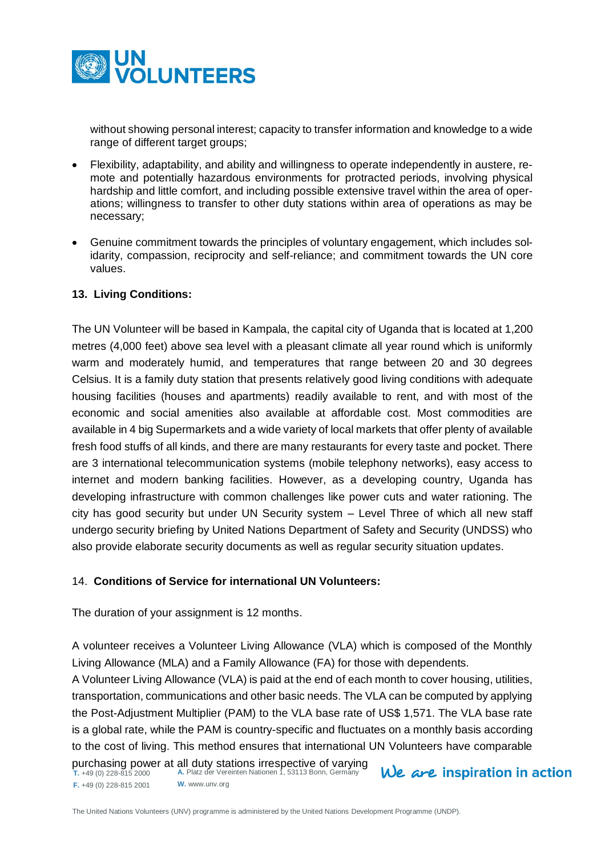

without showing personal interest; capacity to transfer information and knowledge to a wide range of different target groups;

- Flexibility, adaptability, and ability and willingness to operate independently in austere, remote and potentially hazardous environments for protracted periods, involving physical hardship and little comfort, and including possible extensive travel within the area of operations; willingness to transfer to other duty stations within area of operations as may be necessary;
- Genuine commitment towards the principles of voluntary engagement, which includes solidarity, compassion, reciprocity and self-reliance; and commitment towards the UN core values.

## **13. Living Conditions:**

The UN Volunteer will be based in Kampala, the capital city of Uganda that is located at 1,200 metres (4,000 feet) above sea level with a pleasant climate all year round which is uniformly warm and moderately humid, and temperatures that range between 20 and 30 degrees Celsius. It is a family duty station that presents relatively good living conditions with adequate housing facilities (houses and apartments) readily available to rent, and with most of the economic and social amenities also available at affordable cost. Most commodities are available in 4 big Supermarkets and a wide variety of local markets that offer plenty of available fresh food stuffs of all kinds, and there are many restaurants for every taste and pocket. There are 3 international telecommunication systems (mobile telephony networks), easy access to internet and modern banking facilities. However, as a developing country, Uganda has developing infrastructure with common challenges like power cuts and water rationing. The city has good security but under UN Security system – Level Three of which all new staff undergo security briefing by United Nations Department of Safety and Security (UNDSS) who also provide elaborate security documents as well as regular security situation updates.

## 14. **Conditions of Service for international UN Volunteers:**

The duration of your assignment is 12 months.

A volunteer receives a Volunteer Living Allowance (VLA) which is composed of the Monthly Living Allowance (MLA) and a Family Allowance (FA) for those with dependents.

A Volunteer Living Allowance (VLA) is paid at the end of each month to cover housing, utilities, transportation, communications and other basic needs. The VLA can be computed by applying the Post-Adjustment Multiplier (PAM) to the VLA base rate of US\$ 1,571. The VLA base rate is a global rate, while the PAM is country-specific and fluctuates on a monthly basis according to the cost of living. This method ensures that international UN Volunteers have comparable purchasing power at all duty stations irrespective of varying

**T.** +49 (0) 228-815 2000 **F.** +49 (0) 228-815 2001 **W.** www.unv.org

**A.** Platz der Vereinten Nationen 1, 53113 Bonn, Germany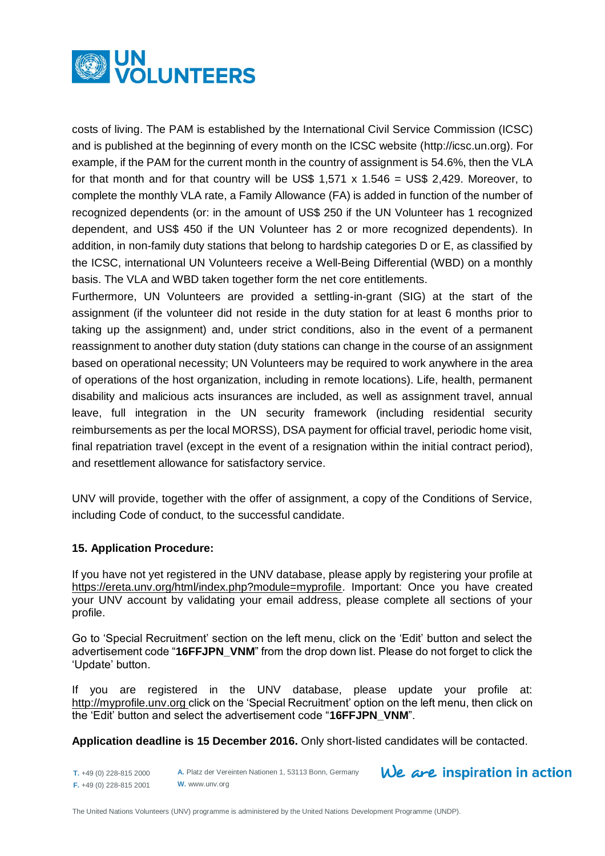

costs of living. The PAM is established by the International Civil Service Commission (ICSC) and is published at the beginning of every month on the ICSC website [\(http://icsc.un.org\)](http://icsc.un.org/). For example, if the PAM for the current month in the country of assignment is 54.6%, then the VLA for that month and for that country will be US\$ 1,571 x 1.546 = US\$ 2,429. Moreover, to complete the monthly VLA rate, a Family Allowance (FA) is added in function of the number of recognized dependents (or: in the amount of US\$ 250 if the UN Volunteer has 1 recognized dependent, and US\$ 450 if the UN Volunteer has 2 or more recognized dependents). In addition, in non-family duty stations that belong to hardship categories D or E, as classified by the ICSC, international UN Volunteers receive a Well-Being Differential (WBD) on a monthly basis. The VLA and WBD taken together form the net core entitlements.

Furthermore, UN Volunteers are provided a settling-in-grant (SIG) at the start of the assignment (if the volunteer did not reside in the duty station for at least 6 months prior to taking up the assignment) and, under strict conditions, also in the event of a permanent reassignment to another duty station (duty stations can change in the course of an assignment based on operational necessity; UN Volunteers may be required to work anywhere in the area of operations of the host organization, including in remote locations). Life, health, permanent disability and malicious acts insurances are included, as well as assignment travel, annual leave, full integration in the UN security framework (including residential security reimbursements as per the local MORSS), DSA payment for official travel, periodic home visit, final repatriation travel (except in the event of a resignation within the initial contract period), and resettlement allowance for satisfactory service.

UNV will provide, together with the offer of assignment, a copy of the Conditions of Service, including Code of conduct, to the successful candidate.

## **15. Application Procedure:**

If you have not yet registered in the UNV database, please apply by registering your profile at [https://ereta.unv.org/html/index.php?module=myprofile.](https://ereta.unv.org/html/index.php?module=myprofile) Important: Once you have created your UNV account by validating your email address, please complete all sections of your profile.

Go to 'Special Recruitment' section on the left menu, click on the 'Edit' button and select the advertisement code "**16FFJPN\_VNM**" from the drop down list. Please do not forget to click the 'Update' button.

If you are registered in the UNV database, please update your profile at: [http://myprofile.unv.org c](http://myprofile.unv.org/)lick on the 'Special Recruitment' option on the left menu, then click on the 'Edit' button and select the advertisement code "**16FFJPN\_VNM**".

**Application deadline is 15 December 2016.** Only short-listed candidates will be contacted.

 $We$  are inspiration in action

**T.** +49 (0) 228-815 2000 **F.** +49 (0) 228-815 2001 **A.** Platz der Vereinten Nationen 1, 53113 Bonn, Germany **W.** www.unv.org

The United Nations Volunteers (UNV) programme is administered by the United Nations Development Programme (UNDP).